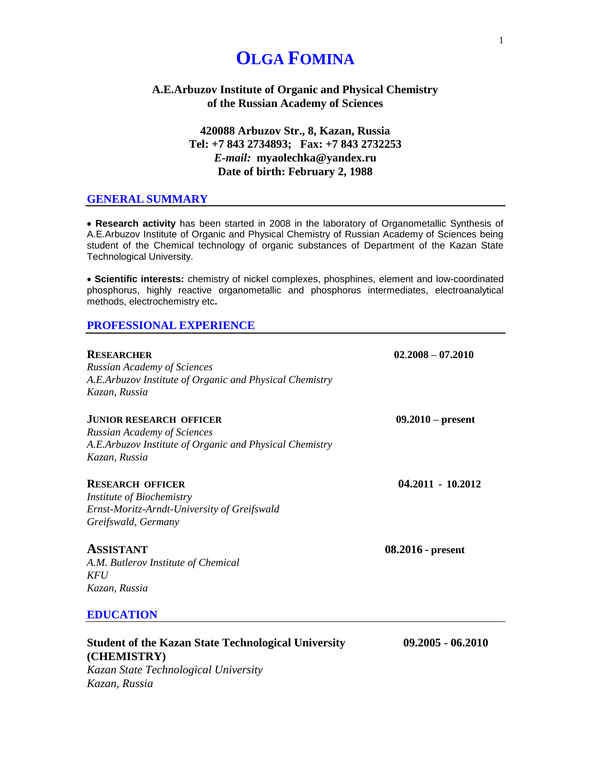# **OLGA FOMINA**

## **A.E.Arbuzov Institute of Organic and Physical Chemistry of the Russian Academy of Sciences**

# **420088 Arbuzov Str., 8, Kazan, Russia Tel: +7 843 2734893; Fax: +7 843 2732253** *E-mail:* **myaolechka@yandex.ru Date of birth: February 2, 1988**

## **GENERAL SUMMARY**

• **Research activity** has been started in 2008 in the laboratory of Organometallic Synthesis of A.E.Arbuzov Institute of Organic and Physical Chemistry of Russian Academy of Sciences being student of the Chemical technology of organic substances of Department of the Kazan State Technological University.

• **Scientific interests:** chemistry of nickel complexes, phosphines, element and low-coordinated phosphorus, highly reactive organometallic and phosphorus intermediates, electroanalytical methods, electrochemistry etc**.**

#### **PROFESSIONAL EXPERIENCE**

| <b>RESEARCHER</b><br><b>Russian Academy of Sciences</b><br>A.E.Arbuzov Institute of Organic and Physical Chemistry<br>Kazan, Russia              | $02.2008 - 07.2010$ |
|--------------------------------------------------------------------------------------------------------------------------------------------------|---------------------|
| <b>JUNIOR RESEARCH OFFICER</b><br><b>Russian Academy of Sciences</b><br>A.E.Arbuzov Institute of Organic and Physical Chemistry<br>Kazan, Russia | $09.2010 - present$ |
| <b>RESEARCH OFFICER</b><br>Institute of Biochemistry<br>Ernst-Moritz-Arndt-University of Greifswald<br>Greifswald, Germany                       | $04.2011 - 10.2012$ |
| <b>ASSISTANT</b><br>A.M. Butlerov Institute of Chemical<br>KFU<br>Kazan, Russia                                                                  | $08.2016$ - present |
| <b>EDUCATION</b>                                                                                                                                 |                     |
| <b>Student of the Kazan State Technological University</b><br>(CHEMISTRY)                                                                        | $09.2005 - 06.2010$ |

*Kazan State Technological University Kazan, Russia*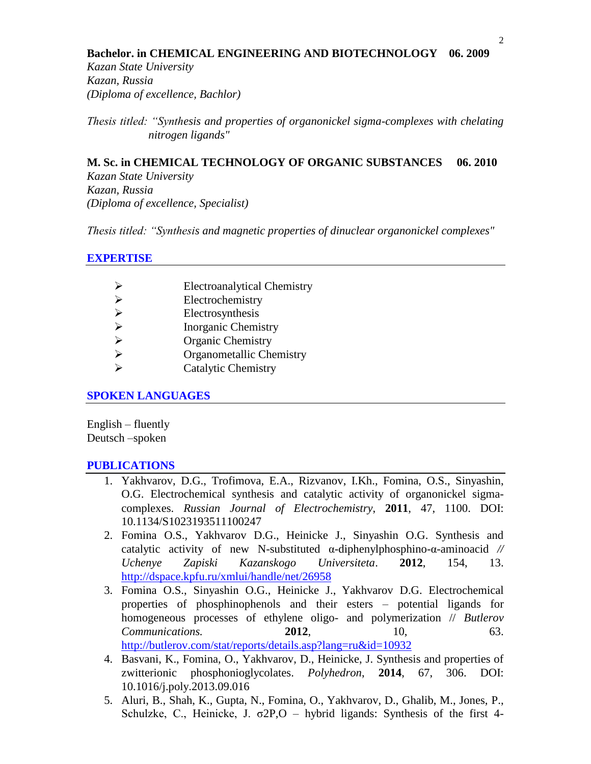#### **Bachelor. in CHEMICAL ENGINEERING AND BIOTECHNOLOGY 06. 2009**

*Kazan State University Kazan, Russia (Diploma of excellence, Bachlor)* 

*Thesis titled: "Synthesis and properties of organonickel sigma-complexes with chelating nitrogen ligands"*

## **M. Sc. in CHEMICAL TECHNOLOGY OF ORGANIC SUBSTANCES 06. 2010**

*Kazan State University Kazan, Russia (Diploma of excellence, Specialist)*

*Thesis titled: "Synthesis and magnetic properties of dinuclear organonickel complexes"*

#### **EXPERTISE**

|                       | <b>Electroanalytical Chemistry</b> |
|-----------------------|------------------------------------|
| ⋗                     | Electrochemistry                   |
| $\blacktriangleright$ | Electrosynthesis                   |
| $\blacktriangleright$ | <b>Inorganic Chemistry</b>         |
| ⋗                     | <b>Organic Chemistry</b>           |
| ↘                     | Organometallic Chemistry           |
|                       | <b>Catalytic Chemistry</b>         |
|                       |                                    |

## **SPOKEN LANGUAGES**

English – fluently Deutsch –spoken

#### **PUBLICATIONS**

- 1. Yakhvarov, D.G., Trofimova, E.A., Rizvanov, I.Kh., Fomina, O.S., Sinyashin, O.G. Electrochemical synthesis and catalytic activity of organonickel sigmacomplexes. *Russian Journal of Electrochemistry*, **2011**, 47, 1100. DOI: 10.1134/S1023193511100247
- 2. Fomina O.S., Yakhvarov D.G., Heinicke J., Sinyashin O.G. Synthesis and catalytic activity of new N-substituted α-diphenylphosphino-α-aminoacid *// Uchenye Zapiski Kazanskogo Universiteta*. **2012**, 154, 13. <http://dspace.kpfu.ru/xmlui/handle/net/26958>
- 3. Fomina O.S., Sinyashin O.G., Heinicke J., Yakhvarov D.G. Electrochemical properties of phosphinophenols and their esters – potential ligands for homogeneous processes of ethylene oligo- and polymerization // *Butlerov Communications.* **2012. 10. 10. 63.** <http://butlerov.com/stat/reports/details.asp?lang=ru&id=10932>
- 4. Basvani, K., Fomina, O., Yakhvarov, D., Heinicke, J. Synthesis and properties of zwitterionic phosphonioglycolates. *Polyhedron*, **2014**, 67, 306. DOI: 10.1016/j.poly.2013.09.016
- 5. Aluri, B., Shah, K., Gupta, N., Fomina, O., Yakhvarov, D., Ghalib, M., Jones, P., Schulzke, C., Heinicke, J.  $\sigma$ 2P,O – hybrid ligands: Synthesis of the first 4-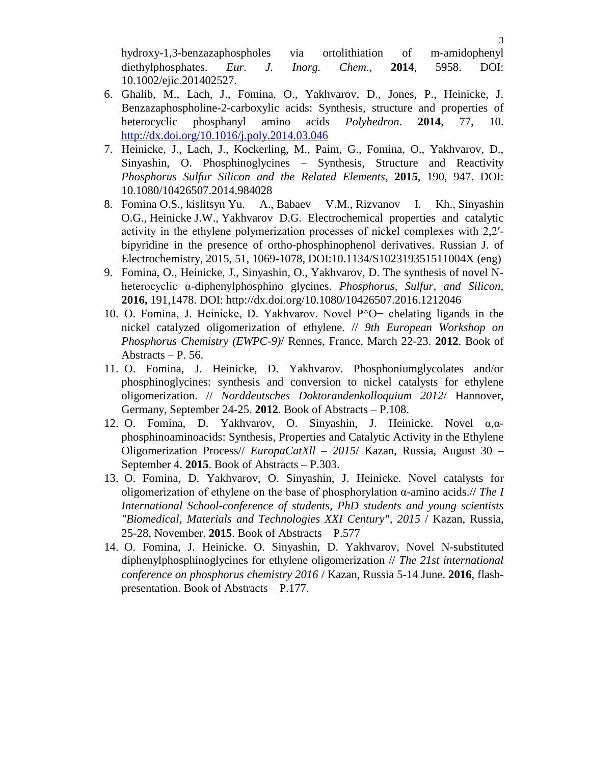hydroxy-1,3-benzazaphospholes via ortolithiation of m-amidophenyl diethylphosphates. *Eur. J. Inorg. Chem*., **2014**, 5958. DOI: 10.1002/ejic.201402527.

- 6. Ghalib, M., Lach, J., Fomina, O., Yakhvarov, D., Jones, P., Heinicke, J. Benzazaphospholine-2-carboxylic acids: Synthesis, structure and properties of heterocyclic phosphanyl amino acids *Polyhedron*. **2014**, 77, 10. <http://dx.doi.org/10.1016/j.poly.2014.03.046>
- 7. Heinicke, J., Lach, J., Kockerling, M., Paim, G., Fomina, O., Yakhvarov, D., Sinyashin, O. Phosphinoglycines – Synthesis, Structure and Reactivity *Phosphorus Sulfur Silicon and the Related Elements*, **2015**, 190, 947. DOI: 10.1080/10426507.2014.984028
- 8. Fomina O.S., kislitsyn Yu. A., [Babaev V.M.,](http://elibrary.ru/author_items.asp?authorid=642072) [Rizvanov I. Kh.,](http://elibrary.ru/author_items.asp?authorid=111458) [Sinyashin](http://elibrary.ru/author_items.asp?authorid=46115)  [O.G.,](http://elibrary.ru/author_items.asp?authorid=46115) Heinicke J.W., [Yakhvarov D.G.](http://elibrary.ru/author_items.asp?authorid=49189) Electrochemical properties and catalytic activity in the ethylene polymerization processes of nickel complexes with 2,2′ bipyridine in the presence of ortho-phosphinophenol derivatives. [Russian J. of](http://elibrary.ru/contents.asp?issueid=1507160)  [Electrochemistry,](http://elibrary.ru/contents.asp?issueid=1507160) 2015, 51, 1069-1078, DOI:10.1134/S102319351511004X (eng)
- 9. Fomina, O., Heinicke, J., Sinyashin, O., Yakhvarov, D. The synthesis of novel Nheterocyclic α-diphenylphosphino glycines. *Phosphorus, Sulfur, and Silicon,* **2016,** 191,1478. DOI: http://dx.doi.org/10.1080/10426507.2016.1212046
- 10. O. Fomina, J. Heinicke, D. Yakhvarov. Novel P^O− chelating ligands in the nickel catalyzed oligomerization of ethylene. // *9th European Workshop on Phosphorus Chemistry (EWPC-9)*/ Rennes, France, March 22-23. **2012**. Book of Abstracts – P. 56.
- 11. O. Fomina, J. Heinicke, D. Yakhvarov. Phosphoniumglycolates and/or phosphinoglycines: synthesis and conversion to nickel catalysts for ethylene oligomerization. // *Norddeutsches Doktorandenkolloquium 2012*/ Hannover, Germany, September 24-25. **2012**. Book of Abstracts – P.108.
- 12. O. Fomina, D. Yakhvarov, O. Sinyashin, J. Heinicke. Novel α,αphosphinoaminoacids: Synthesis, Properties and Catalytic Activity in the Ethylene Oligomerization Process// *EuropaCatXll – 2015*/ Kazan, Russia, August 30 – September 4. **2015**. Book of Abstracts – P.303.
- 13. O. Fomina, D. Yakhvarov, O. Sinyashin, J. Heinicke. Novel catalysts for oligomerization of ethylene on the base of phosphorylation α-amino acids.// *The I International School-conference of students, PhD students and young scientists "Biomedical, Materials and Technologies XXI Century", 2015* / Kazan, Russia, 25-28, November. **2015**. Book of Abstracts – P.577
- 14. O. Fomina, J. Heinicke. O. Sinyashin, D. Yakhvarov, Novel N-substituted diphenylphosphinoglycines for ethylene oligomerization // *The 21st international conference on phosphorus chemistry 2016* / Kazan, Russia 5-14 June. **2016**, flashpresentation. Book of Abstracts – P.177.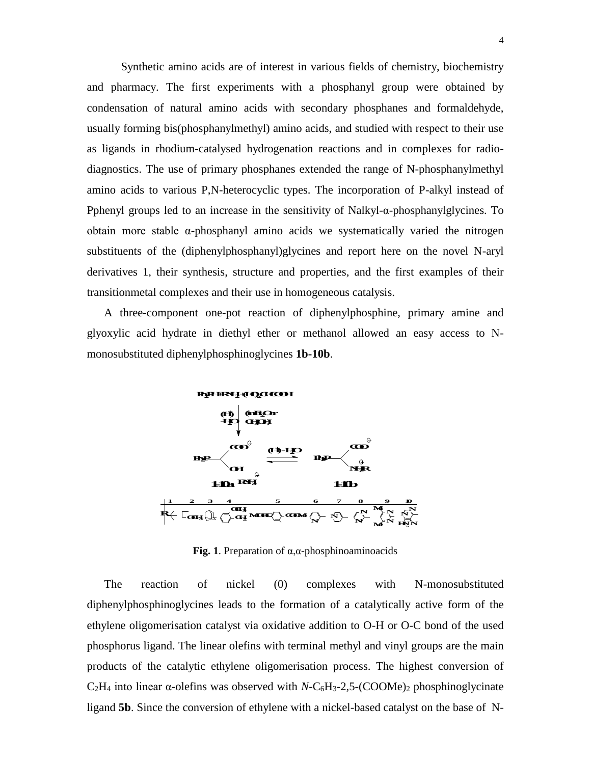Synthetic amino acids are of interest in various fields of chemistry, biochemistry and pharmacy. The first experiments with a phosphanyl group were obtained by condensation of natural amino acids with secondary phosphanes and formaldehyde, usually forming bis(phosphanylmethyl) amino acids, and studied with respect to their use as ligands in rhodium-catalysed hydrogenation reactions and in complexes for radiodiagnostics. The use of primary phosphanes extended the range of N-phosphanylmethyl amino acids to various P,N-heterocyclic types. The incorporation of P-alkyl instead of Pphenyl groups led to an increase in the sensitivity of Nalkyl-α-phosphanylglycines. To obtain more stable α-phosphanyl amino acids we systematically varied the nitrogen substituents of the (diphenylphosphanyl)glycines and report here on the novel N-aryl derivatives 1, their synthesis, structure and properties, and the first examples of their transitionmetal complexes and their use in homogeneous catalysis.

A three-component one-pot reaction of diphenylphosphine, primary amine and glyoxylic acid hydrate in diethyl ether or methanol allowed an easy access to Nmonosubstituted diphenylphosphinoglycines **1b-10b**.



**Fig. 1**. Preparation of α,α-phosphinoaminoacids

The reaction of nickel (0) complexes with N-monosubstituted diphenylphosphinoglycines leads to the formation of a catalytically active form of the ethylene oligomerisation catalyst via oxidative addition to O-H or O-C bond of the used phosphorus ligand. The linear olefins with terminal methyl and vinyl groups are the main products of the catalytic ethylene oligomerisation process. The highest conversion of  $C_2H_4$  into linear  $\alpha$ -olefins was observed with *N*-C<sub>6</sub>H<sub>3</sub>-2,5-(COOMe)<sub>2</sub> phosphinoglycinate ligand **5b**. Since the conversion of ethylene with a nickel-based catalyst on the base ofN-